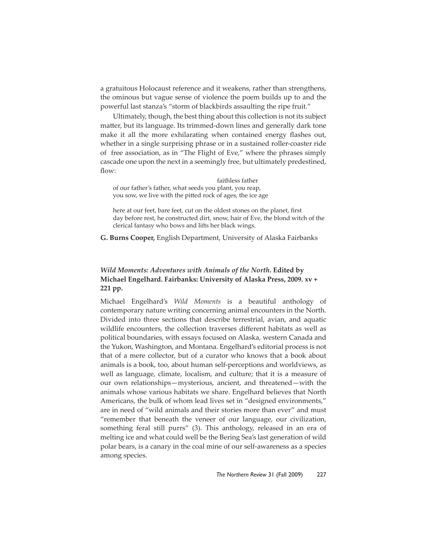a gratuitous Holocaust reference and it weakens, rather than strengthens, the ominous but vague sense of violence the poem builds up to and the powerful last stanza's "storm of blackbirds assaulting the ripe fruit."

Ultimately, though, the best thing about this collection is not its subject matter, but its language. Its trimmed-down lines and generally dark tone make it all the more exhilarating when contained energy flashes out, whether in a single surprising phrase or in a sustained roller-coaster ride of free association, as in "The Flight of Eve," where the phrases simply cascade one upon the next in a seemingly free, but ultimately predestined, flow:

 faithless father of our father's father, what seeds you plant, you reap, you sow, we live with the pitted rock of ages, the ice age

here at our feet, bare feet, cut on the oldest stones on the planet, first day before rest, he constructed dirt, snow, hair of Eve, the blond witch of the clerical fantasy who bows and lifts her black wings.

**G. Burns Cooper,** English Department, University of Alaska Fairbanks

## *Wild Moments: Adventures with Animals of the North***. Edited by Michael Engelhard. Fairbanks: University of Alaska Press, 2009. xv + 221 pp.**

Michael Engelhard's *Wild Moments* is a beautiful anthology of contemporary nature writing concerning animal encounters in the North. Divided into three sections that describe terrestrial, avian, and aquatic wildlife encounters, the collection traverses different habitats as well as political boundaries, with essays focused on Alaska, western Canada and the Yukon, Washington, and Montana. Engelhard's editorial process is not that of a mere collector, but of a curator who knows that a book about animals is a book, too, about human self-perceptions and worldviews, as well as language, climate, localism, and culture; that it is a measure of our own relationships—mysterious, ancient, and threatened—with the animals whose various habitats we share. Engelhard believes that North Americans, the bulk of whom lead lives set in "designed environments," are in need of "wild animals and their stories more than ever" and must "remember that beneath the veneer of our language, our civilization, something feral still purrs" (3). This anthology, released in an era of melting ice and what could well be the Bering Sea's last generation of wild polar bears, is a canary in the coal mine of our self-awareness as a species among species.

*The Northern Review* 31 (Fall 2009) 227